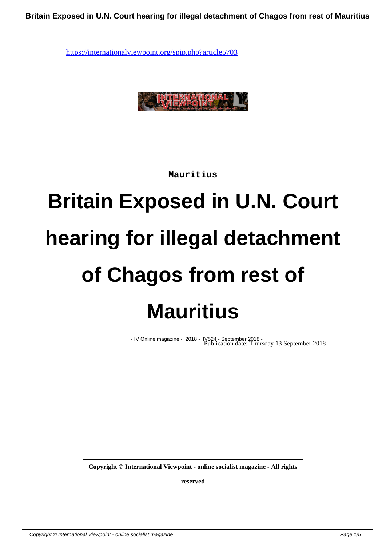

**Mauritius**

## **Britain Exposed in U.N. Court hearing for illegal detachment of Chagos from rest of Mauritius**

- IV Online magazine - 2018 -Publication date: Thursday 13 September 2018

**Copyright © International Viewpoint - online socialist magazine - All rights**

**reserved**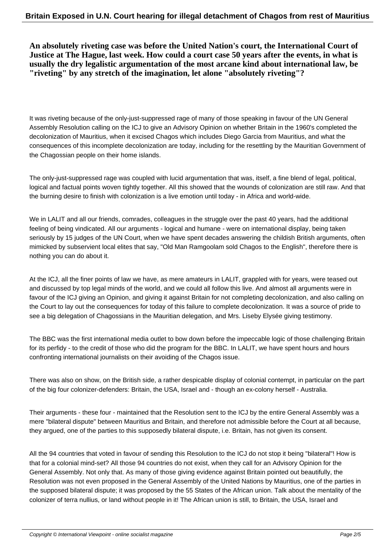**An absolutely riveting case was before the United Nation's court, the International Court of Justice at The Hague, last week. How could a court case 50 years after the events, in what is usually the dry legalistic argumentation of the most arcane kind about international law, be "riveting" by any stretch of the imagination, let alone "absolutely riveting"?**

It was riveting because of the only-just-suppressed rage of many of those speaking in favour of the UN General Assembly Resolution calling on the ICJ to give an Advisory Opinion on whether Britain in the 1960's completed the decolonization of Mauritius, when it excised Chagos which includes Diego Garcia from Mauritius, and what the consequences of this incomplete decolonization are today, including for the resettling by the Mauritian Government of the Chagossian people on their home islands.

The only-just-suppressed rage was coupled with lucid argumentation that was, itself, a fine blend of legal, political, logical and factual points woven tightly together. All this showed that the wounds of colonization are still raw. And that the burning desire to finish with colonization is a live emotion until today - in Africa and world-wide.

We in LALIT and all our friends, comrades, colleagues in the struggle over the past 40 years, had the additional feeling of being vindicated. All our arguments - logical and humane - were on international display, being taken seriously by 15 judges of the UN Court, when we have spent decades answering the childish British arguments, often mimicked by subservient local elites that say, "Old Man Ramgoolam sold Chagos to the English", therefore there is nothing you can do about it.

At the ICJ, all the finer points of law we have, as mere amateurs in LALIT, grappled with for years, were teased out and discussed by top legal minds of the world, and we could all follow this live. And almost all arguments were in favour of the ICJ giving an Opinion, and giving it against Britain for not completing decolonization, and also calling on the Court to lay out the consequences for today of this failure to complete decolonization. It was a source of pride to see a big delegation of Chagossians in the Mauritian delegation, and Mrs. Liseby Elysée giving testimony.

The BBC was the first international media outlet to bow down before the impeccable logic of those challenging Britain for its perfidy - to the credit of those who did the program for the BBC. In LALIT, we have spent hours and hours confronting international journalists on their avoiding of the Chagos issue.

There was also on show, on the British side, a rather despicable display of colonial contempt, in particular on the part of the big four colonizer-defenders: Britain, the USA, Israel and - though an ex-colony herself - Australia.

Their arguments - these four - maintained that the Resolution sent to the ICJ by the entire General Assembly was a mere "bilateral dispute" between Mauritius and Britain, and therefore not admissible before the Court at all because, they argued, one of the parties to this supposedly bilateral dispute, i.e. Britain, has not given its consent.

All the 94 countries that voted in favour of sending this Resolution to the ICJ do not stop it being "bilateral"! How is that for a colonial mind-set? All those 94 countries do not exist, when they call for an Advisory Opinion for the General Assembly. Not only that. As many of those giving evidence against Britain pointed out beautifully, the Resolution was not even proposed in the General Assembly of the United Nations by Mauritius, one of the parties in the supposed bilateral dispute; it was proposed by the 55 States of the African union. Talk about the mentality of the colonizer of terra nullius, or land without people in it! The African union is still, to Britain, the USA, Israel and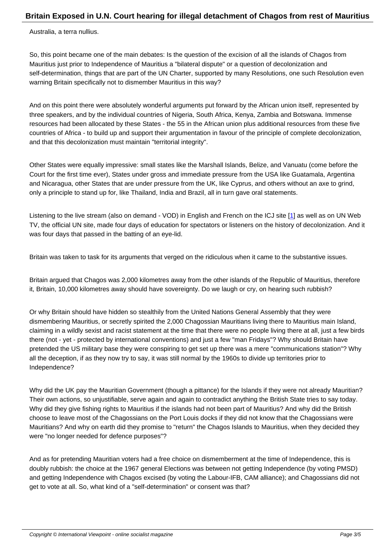Australia, a terra nullius.

So, this point became one of the main debates: Is the question of the excision of all the islands of Chagos from Mauritius just prior to Independence of Mauritius a "bilateral dispute" or a question of decolonization and self-determination, things that are part of the UN Charter, supported by many Resolutions, one such Resolution even warning Britain specifically not to dismember Mauritius in this way?

And on this point there were absolutely wonderful arguments put forward by the African union itself, represented by three speakers, and by the individual countries of Nigeria, South Africa, Kenya, Zambia and Botswana. Immense resources had been allocated by these States - the 55 in the African union plus additional resources from these five countries of Africa - to build up and support their argumentation in favour of the principle of complete decolonization, and that this decolonization must maintain "territorial integrity".

Other States were equally impressive: small states like the Marshall Islands, Belize, and Vanuatu (come before the Court for the first time ever), States under gross and immediate pressure from the USA like Guatamala, Argentina and Nicaragua, other States that are under pressure from the UK, like Cyprus, and others without an axe to grind, only a principle to stand up for, like Thailand, India and Brazil, all in turn gave oral statements.

Listening to the live stream (also on demand - VOD) in English and French on the ICJ site [1] as well as on UN Web TV, the official UN site, made four days of education for spectators or listeners on the history of decolonization. And it was four days that passed in the batting of an eye-lid.

Britain was taken to task for its arguments that verged on the ridiculous when it came to the substantive issues.

Britain argued that Chagos was 2,000 kilometres away from the other islands of the Republic of Mauritius, therefore it, Britain, 10,000 kilometres away should have sovereignty. Do we laugh or cry, on hearing such rubbish?

Or why Britain should have hidden so stealthily from the United Nations General Assembly that they were dismembering Mauritius, or secretly spirited the 2,000 Chagossian Mauritians living there to Mauritius main Island, claiming in a wildly sexist and racist statement at the time that there were no people living there at all, just a few birds there (not - yet - protected by international conventions) and just a few "man Fridays"? Why should Britain have pretended the US military base they were conspiring to get set up there was a mere "communications station"? Why all the deception, if as they now try to say, it was still normal by the 1960s to divide up territories prior to Independence?

Why did the UK pay the Mauritian Government (though a pittance) for the Islands if they were not already Mauritian? Their own actions, so unjustifiable, serve again and again to contradict anything the British State tries to say today. Why did they give fishing rights to Mauritius if the islands had not been part of Mauritius? And why did the British choose to leave most of the Chagossians on the Port Louis docks if they did not know that the Chagossians were Mauritians? And why on earth did they promise to "return" the Chagos Islands to Mauritius, when they decided they were "no longer needed for defence purposes"?

And as for pretending Mauritian voters had a free choice on dismemberment at the time of Independence, this is doubly rubbish: the choice at the 1967 general Elections was between not getting Independence (by voting PMSD) and getting Independence with Chagos excised (by voting the Labour-IFB, CAM alliance); and Chagossians did not get to vote at all. So, what kind of a "self-determination" or consent was that?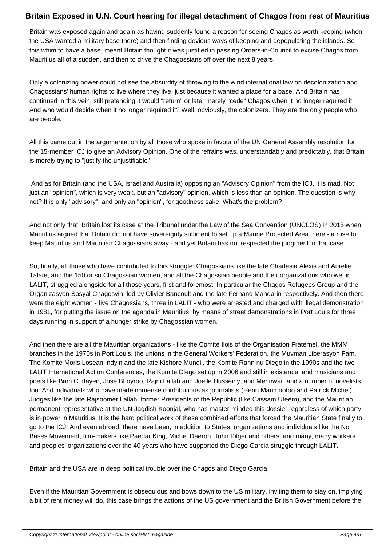Britain was exposed again and again as having suddenly found a reason for seeing Chagos as worth keeping (when the USA wanted a military base there) and then finding devious ways of keeping and depopulating the islands. So this whim to have a base, meant Britain thought it was justified in passing Orders-in-Council to excise Chagos from Mauritius all of a sudden, and then to drive the Chagossians off over the next 8 years.

Only a colonizing power could not see the absurdity of throwing to the wind international law on decolonization and Chagossians' human rights to live where they live, just because it wanted a place for a base. And Britain has continued in this vein, still pretending it would "return" or later merely "cede" Chagos when it no longer required it. And who would decide when it no longer required it? Well, obviously, the colonizers. They are the only people who are people.

All this came out in the argumentation by all those who spoke in favour of the UN General Assembly resolution for the 15-member ICJ to give an Advisory Opinion. One of the refrains was, understandably and predictably, that Britain is merely trying to "justify the unjustifiable".

 And as for Britain (and the USA, Israel and Australia) opposing an "Advisory Opinion" from the ICJ, it is mad. Not just an "opinion", which is very weak, but an "advisory" opinion, which is less than an opinion. The question is why not? It is only "advisory", and only an "opinion", for goodness sake. What's the problem?

And not only that. Britain lost its case at the Tribunal under the Law of the Sea Convention (UNCLOS) in 2015 when Mauritius argued that Britain did not have sovereignty sufficient to set up a Marine Protected Area there - a ruse to keep Mauritius and Mauritian Chagossians away - and yet Britain has not respected the judgment in that case.

So, finally, all those who have contributed to this struggle: Chagossians like the late Charlesia Alexis and Aurelie Talate, and the 150 or so Chagossian women, and all the Chagossian people and their organizations who we, in LALIT, struggled alongside for all those years, first and foremost. In particular the Chagos Refugees Group and the Organizasyon Sosyal Chagosyin, led by Olivier Bancoult and the late Fernand Mandarin respectively. And then there were the eight women - five Chagossians, three in LALIT - who were arrested and charged with illegal demonstration in 1981, for putting the issue on the agenda in Mauritius, by means of street demonstrations in Port Louis for three days running in support of a hunger strike by Chagossian women.

And then there are all the Mauritian organizations - like the Comité Ilois of the Organisation Fraternel, the MMM branches in the 1970s in Port Louis, the unions in the General Workers' Federation, the Muvman Liberasyon Fam, The Komite Moris Losean Indyin and the late Kishore Mundil, the Komite Rann nu Diego in the 1990s and the two LALIT International Action Conferences, the Komite Diego set up in 2006 and still in existence, and musicians and poets like Bam Cuttayen, José Bhoyroo, Rajni Lallah and Joelle Husseiny, and Mennwar, and a number of novelists, too. And individuals who have made immense contributions as journalists (Henri Marimootoo and Patrick Michel), Judges like the late Rajsoomer Lallah, former Presidents of the Republic (like Cassam Uteem), and the Mauritian permanent representative at the UN Jagdish Koonjal, who has master-minded this dossier regardless of which party is in power in Mauritius. It is the hard political work of these combined efforts that forced the Mauritian State finally to go to the ICJ. And even abroad, there have been, in addition to States, organizations and individuals like the No Bases Movement, film-makers like Paedar King, Michel Daeron, John Pilger and others, and many, many workers and peoples' organizations over the 40 years who have supported the Diego Garcia struggle through LALIT.

Britain and the USA are in deep political trouble over the Chagos and Diego Garcia.

Even if the Mauritian Government is obsequious and bows down to the US military, inviting them to stay on, implying a bit of rent money will do, this case brings the actions of the US government and the British Government before the